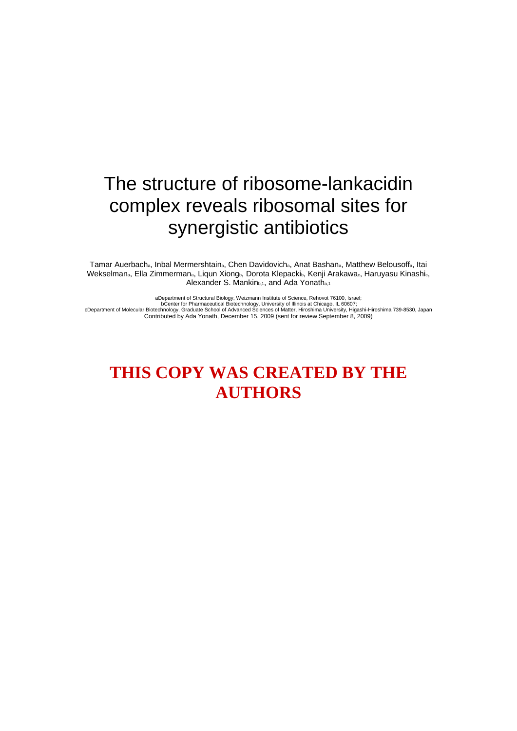# The structure of ribosome-lankacidin complex reveals ribosomal sites for synergistic antibiotics

Tamar Auerbacha, Inbal Mermershtaina, Chen Davidovicha, Anat Bashana, Matthew Belousoffa, Itai Wekselman<sub>a</sub>, Ella Zimmerman<sub>a</sub>, Liqun Xiongb, Dorota Klepackib, Kenji Arakawac, Haruyasu Kinashic, Alexander S. Mankin<sub>b,1</sub>, and Ada Yonath<sub>a,1</sub>

aDepartment of Structural Biology, Weizmann Institute of Science, Rehovot 76100, Israel;<br>bCenter for Pharmaceutical Biotechnology, University of Illinois at Chicago, IL 60607;<br>cDepartment of Molecular Biotechnology, Gradua Contributed by Ada Yonath, December 15, 2009 (sent for review September 8, 2009)

## **THIS COPY WAS CREATED BY THE AUTHORS**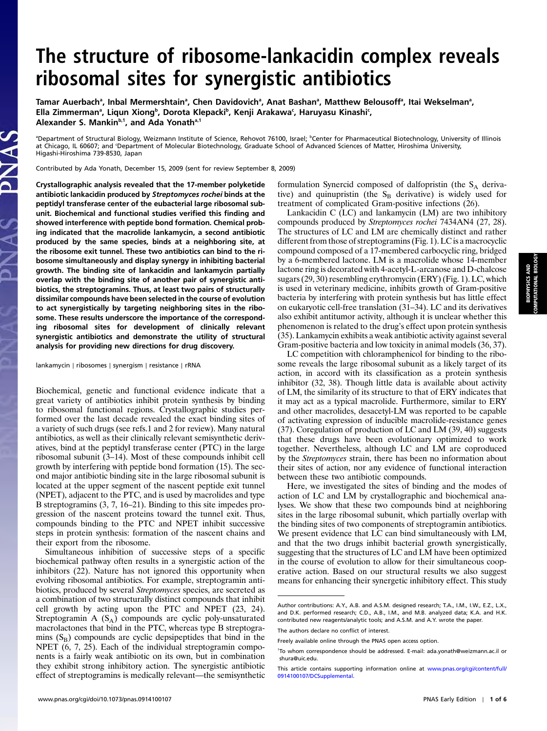## The structure of ribosome-lankacidin complex reveals ribosomal sites for synergistic antibiotics

Tamar Auerbachª, Inbal Mermershtainª, Chen Davidovichª, Anat Bashanª, Matthew Belousoffª, Itai Wekselmanª, Ella Zimmerman<sup>a</sup>, Liqun Xiong<sup>b</sup>, Dorota Klepacki<sup>b</sup>, Kenji Arakawa', Haruyasu Kinashi', Alexander S. Mankin<sup>b,1</sup>, and Ada Yonath<sup>a,1</sup>

®Department of Structural Biology, Weizmann Institute of Science, Rehovot 76100, Israel; ®Center for Pharmaceutical Biotechnology, University of Illinois at Chicago, IL 60607; and 'Department of Molecular Biotechnology, Graduate School of Advanced Sciences of Matter, Hiroshima University, Higashi-Hiroshima 739-8530, Japan

Contributed by Ada Yonath, December 15, 2009 (sent for review September 8, 2009)

Crystallographic analysis revealed that the 17-member polyketide antibiotic lankacidin produced by Streptomyces rochei binds at the peptidyl transferase center of the eubacterial large ribosomal subunit. Biochemical and functional studies verified this finding and showed interference with peptide bond formation. Chemical probing indicated that the macrolide lankamycin, a second antibiotic produced by the same species, binds at a neighboring site, at the ribosome exit tunnel. These two antibiotics can bind to the ribosome simultaneously and display synergy in inhibiting bacterial growth. The binding site of lankacidin and lankamycin partially overlap with the binding site of another pair of synergistic antibiotics, the streptogramins. Thus, at least two pairs of structurally dissimilar compounds have been selected in the course of evolution to act synergistically by targeting neighboring sites in the ribosome. These results underscore the importance of the corresponding ribosomal sites for development of clinically relevant synergistic antibiotics and demonstrate the utility of structural analysis for providing new directions for drug discovery.

lankamycin ∣ ribosomes ∣ synergism ∣ resistance ∣ rRNA

Biochemical, genetic and functional evidence indicate that a great variety of antibiotics inhibit protein synthesis by binding to ribosomal functional regions. Crystallographic studies performed over the last decade revealed the exact binding sites of a variety of such drugs (see refs.1 and 2 for review). Many natural antibiotics, as well as their clinically relevant semisynthetic derivatives, bind at the peptidyl transferase center (PTC) in the large ribosomal subunit (3–14). Most of these compounds inhibit cell growth by interfering with peptide bond formation (15). The second major antibiotic binding site in the large ribosomal subunit is located at the upper segment of the nascent peptide exit tunnel (NPET), adjacent to the PTC, and is used by macrolides and type B streptogramins (3, 7, 16–21). Binding to this site impedes progression of the nascent proteins toward the tunnel exit. Thus, compounds binding to the PTC and NPET inhibit successive steps in protein synthesis: formation of the nascent chains and their export from the ribosome.

Simultaneous inhibition of successive steps of a specific biochemical pathway often results in a synergistic action of the inhibitors (22). Nature has not ignored this opportunity when evolving ribosomal antibiotics. For example, streptogramin antibiotics, produced by several Streptomyces species, are secreted as a combination of two structurally distinct compounds that inhibit cell growth by acting upon the PTC and NPET (23, 24). Streptogramin A  $(S_A)$  compounds are cyclic poly-unsaturated macrolactones that bind in the PTC, whereas type B streptogramins  $(S_B)$  compounds are cyclic depsipeptides that bind in the NPET  $(6, 7, 25)$ . Each of the individual streptogramin components is a fairly weak antibiotic on its own, but in combination they exhibit strong inhibitory action. The synergistic antibiotic effect of streptogramins is medically relevant—the semisynthetic formulation Synercid composed of dalfopristin (the  $S_A$  derivative) and quinupristin (the  $S_B$  derivative) is widely used for treatment of complicated Gram-positive infections (26).

Lankacidin C (LC) and lankamycin (LM) are two inhibitory compounds produced by Streptomyces rochei 7434AN4 (27, 28). The structures of LC and LM are chemically distinct and rather different from those of streptogramins (Fig. 1). LC is a macrocyclic compound composed of a 17-membered carbocyclic ring, bridged by a 6-membered lactone. LM is a macrolide whose 14-member lactone ring is decorated with 4-acetyl-L -arcanose and D-chalcose sugars (29, 30) resembling erythromycin (ERY) (Fig. 1). LC, which is used in veterinary medicine, inhibits growth of Gram-positive bacteria by interfering with protein synthesis but has little effect on eukaryotic cell-free translation (31–34). LC and its derivatives also exhibit antitumor activity, although it is unclear whether this phenomenon is related to the drug's effect upon protein synthesis (35). Lankamycin exhibits a weak antibiotic activity against several Gram-positive bacteria and low toxicity in animal models (36, 37).

LC competition with chloramphenicol for binding to the ribosome reveals the large ribosomal subunit as a likely target of its action, in accord with its classification as a protein synthesis inhibitor (32, 38). Though little data is available about activity of LM, the similarity of its structure to that of ERY indicates that it may act as a typical macrolide. Furthermore, similar to ERY and other macrolides, desacetyl-LM was reported to be capable of activating expression of inducible macrolide-resistance genes (37). Coregulation of production of LC and LM (39, 40) suggests that these drugs have been evolutionary optimized to work together. Nevertheless, although LC and LM are coproduced by the Streptomyces strain, there has been no information about their sites of action, nor any evidence of functional interaction between these two antibiotic compounds.

Here, we investigated the sites of binding and the modes of action of LC and LM by crystallographic and biochemical analyses. We show that these two compounds bind at neighboring sites in the large ribosomal subunit, which partially overlap with the binding sites of two components of streptogramin antibiotics. We present evidence that LC can bind simultaneously with LM, and that the two drugs inhibit bacterial growth synergistically, suggesting that the structures of LC and LM have been optimized in the course of evolution to allow for their simultaneous cooperative action. Based on our structural results we also suggest means for enhancing their synergetic inhibitory effect. This study

Author contributions: A.Y., A.B. and A.S.M. designed research; T.A., I.M., I.W., E.Z., L.X., and D.K. performed research; C.D., A.B., I.M., and M.B. analyzed data; K.A. and H.K. contributed new reagents/analytic tools; and A.S.M. and A.Y. wrote the paper.

The authors declare no conflict of interest.

Freely available online through the PNAS open access option.

<sup>1</sup> To whom correspondence should be addressed. E-mail: ada.yonath@weizmann.ac.il or shura@uic.edu.

This article contains supporting information online at [www.pnas.org/cgi/content/full/](http://www.pnas.org/cgi/content/full/0914100107/DCSupplemental) [0914100107/DCSupplemental.](http://www.pnas.org/cgi/content/full/0914100107/DCSupplemental)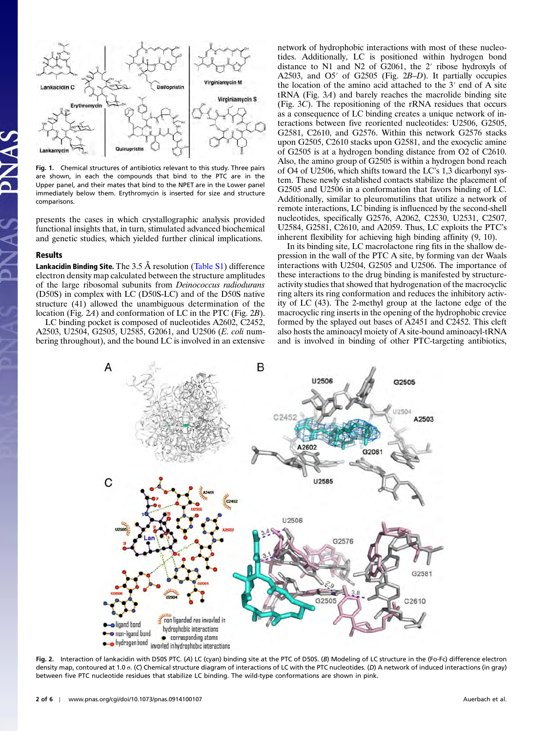

Fig. 1. Chemical structures of antibiotics relevant to this study. Three pairs are shown, in each the compounds that bind to the PTC are in the Upper panel, and their mates that bind to the NPET are in the Lower panel immediately below them. Erythromycin is inserted for size and structure comparisons.

presents the cases in which crystallographic analysis provided functional insights that, in turn, stimulated advanced biochemical and genetic studies, which yielded further clinical implications.

#### Results

**Lankacidin Binding Site.** The  $3.5 \text{ Å}$  resolution [\(Table S1](http://www.pnas.org/cgi/data/0914100107/DCSupplemental/Supplemental_PDF#nameddest=ST1)) difference electron density map calculated between the structure amplitudes of the large ribosomal subunits from Deinococcus radiodurans (D50S) in complex with LC (D50S-LC) and of the D50S native structure (41) allowed the unambiguous determination of the location (Fig. 2A) and conformation of LC in the PTC (Fig. 2B).

LC binding pocket is composed of nucleotides A2602, C2452, A2503, U2504, G2505, U2585, G2061, and U2506 (E. coli numbering throughout), and the bound LC is involved in an extensive network of hydrophobic interactions with most of these nucleotides. Additionally, LC is positioned within hydrogen bond distance to N1 and N2 of G2061, the 2′ ribose hydroxyls of distance to N1 and N2 of G2061, the 2' ribose hydroxyls of A2503, and O5' of G2505 (Fig.  $2B-D$ ). It partially occupies the location of the amino acid attached to the 3' end of A site A2503, and O5' of G2505 (Fig.  $2B-D$ ). It partially occupies tRNA (Fig. 3A) and barely reaches the macrolide binding site (Fig. 3C). The repositioning of the rRNA residues that occurs as a consequence of LC binding creates a unique network of interactions between five reoriented nucleotides: U2506, G2505, G2581, C2610, and G2576. Within this network G2576 stacks upon G2505, C2610 stacks upon G2581, and the exocyclic amine of G2505 is at a hydrogen bonding distance from O2 of C2610. Also, the amino group of G2505 is within a hydrogen bond reach of O4 of U2506, which shifts toward the LC's 1,3 dicarbonyl system. These newly established contacts stabilize the placement of G2505 and U2506 in a conformation that favors binding of LC. Additionally, similar to pleuromutilins that utilize a network of remote interactions, LC binding is influenced by the second-shell nucleotides, specifically G2576, A2062, C2530, U2531, C2507, U2584, G2581, C2610, and A2059. Thus, LC exploits the PTC'<sup>s</sup> inherent flexibility for achieving high binding affinity (9, 10).

In its binding site, LC macrolactone ring fits in the shallow depression in the wall of the PTC A site, by forming van der Waals interactions with U2504, G2505 and U2506. The importance of these interactions to the drug binding is manifested by structureactivity studies that showed that hydrogenation of the macrocyclic ring alters its ring conformation and reduces the inhibitory activity of LC (43). The 2-methyl group at the lactone edge of the macrocyclic ring inserts in the opening of the hydrophobic crevice formed by the splayed out bases of A2451 and C2452. This cleft also hosts the aminoacyl moiety of A site-bound aminoacyl-tRNA and is involved in binding of other PTC-targeting antibiotics,



Fig. 2. Interaction of lankacidin with D50S PTC. (A) LC (cyan) binding site at the PTC of D50S. (B) Modeling of LC structure in the (Fo-Fc) difference electron density map, contoured at 1.0 σ. (C) Chemical structure diagram of interactions of LC with the PTC nucleotides. (D) A network of induced interactions (in gray) between five PTC nucleotide residues that stabilize LC binding. The wild-type conformations are shown in pink.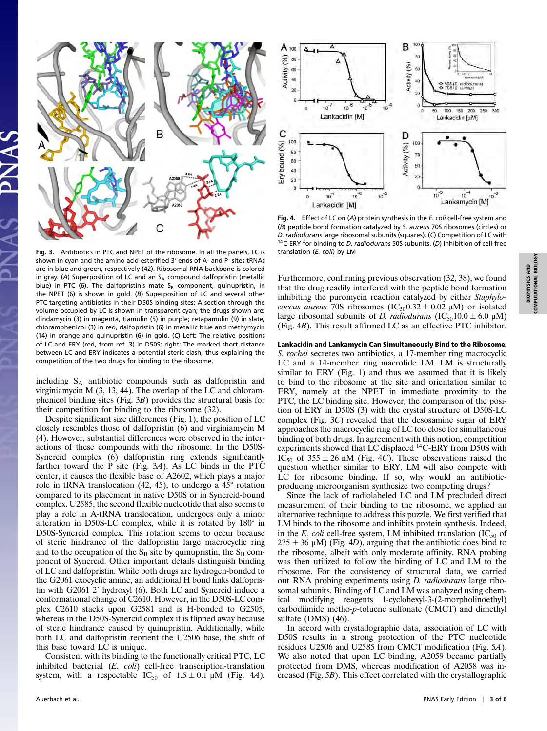

Fig. 3. Antibiotics in PTC and NPET of the ribosome. In all the panels, LC is shown in cyan and the amino acid-esterified 3′ ends of A- and P- sites tRNAs are in blue and green, respectively (42). Ribosomal RNA backbone is colored in gray. (A) Superposition of LC and an  $S_A$  compound dalfopristin (metallic blue) in PTC (6). The dalfopristin's mate  $S_B$  component, quinupristin, in the NPET (6) is shown in gold. (B) Superposition of LC and several other PTC-targeting antibiotics in their D50S binding sites: A section through the volume occupied by LC is shown in transparent cyan; the drugs shown are: clindamycin (3) in magenta, tiamulin (5) in purple; retapamulin (9) in slate, chloramphenicol (3) in red, dalfopristin (6) in metallic blue and methymycin (14) in orange and quinupristin (6) in gold. (C) Left: The relative positions of LC and ERY (red, from ref. 3) in D50S; right: The marked short distance between LC and ERY indicates a potential steric clash, thus explaining the competition of the two drugs for binding to the ribosome.

including  $S_A$  antibiotic compounds such as dalfopristin and virginiamycin M (3, 13, 44). The overlap of the LC and chloramphenicol binding sites (Fig. 3B) provides the structural basis for their competition for binding to the ribosome (32).

Despite significant size differences (Fig. 1), the position of LC closely resembles those of dalfopristin (6) and virginiamycin M (4). However, substantial differences were observed in the interactions of these compounds with the ribosome. In the D50S-Synercid complex (6) dalfopristin ring extends significantly farther toward the P site (Fig. 3A). As LC binds in the PTC center, it causes the flexible base of A2602, which plays a major role in tRNA translocation (42, 45), to undergo a 45° rotation compared to its placement in native D50S or in Synercid-bound complex. U2585, the second flexible nucleotide that also seems to play a role in A-tRNA translocation, undergoes only a minor alteration in D50S-LC complex, while it is rotated by 180° in D50S-Synercid complex. This rotation seems to occur because of steric hindrance of the dalfopristin large macrocyclic ring and to the occupation of the  $S_B$  site by quinupristin, the  $S_B$  component of Synercid. Other important details distinguish binding of LC and dalfopristin. While both drugs are hydrogen-bonded to the G2061 exocyclic amine, an additional H bond links dalfopristin with G2061 2′ hydroxyl (6). Both LC and Synercid induce a conformational change of C2610. However, in the D50S-LC complex C2610 stacks upon G2581 and is H-bonded to G2505, whereas in the D50S-Synercid complex it is flipped away because of steric hindrance caused by quinupristin. Additionally, while both LC and dalfopristin reorient the U2506 base, the shift of this base toward LC is unique.

Consistent with its binding to the functionally critical PTC, LC inhibited bacterial  $(E. \; coli)$  cell-free transcription-translation system, with a respectable  $IC_{50}$  of  $1.5 \pm 0.1 \mu M$  (Fig. 4A).



Fig. 4. Effect of LC on (A) protein synthesis in the  $E$ . coli cell-free system and (B) peptide bond formation catalyzed by S. aureus 70S ribosomes (circles) or D. radiodurans large ribosomal subunits (squares). (C) Competition of LC with 14C-ERY for binding to *D. radiodurans* 50S subunits. (D) Inhibition of cell-free translation (E. coli) by LM

Furthermore, confirming previous observation (32, 38), we found that the drug readily interfered with the peptide bond formation inhibiting the puromycin reaction catalyzed by either Staphylococcus aureus 70S ribosomes (IC<sub>50</sub>0.32  $\pm$  0.02  $\mu$ M) or isolated large ribosomal subunits of D. radiodurans (IC<sub>50</sub>10.0  $\pm$  6.0  $\mu$ M) (Fig. 4B). This result affirmed LC as an effective PTC inhibitor.

Lankacidin and Lankamycin Can Simultaneously Bind to the Ribosome. S. rochei secretes two antibiotics, a 17-member ring macrocyclic LC and a 14-member ring macrolide LM. LM is structurally similar to ERY (Fig. 1) and thus we assumed that it is likely to bind to the ribosome at the site and orientation similar to ERY, namely at the NPET in immediate proximity to the PTC, the LC binding site. However, the comparison of the position of ERY in D50S (3) with the crystal structure of D50S-LC complex (Fig. 3C) revealed that the desosamine sugar of ERY

approaches the macrocyclic ring of LC too close for simultaneous binding of both drugs. In agreement with this notion, competition experiments showed that LC displaced <sup>14</sup>C-ERY from D50S with IC<sub>50</sub> of 355  $\pm$  26 nM (Fig. 4C). These observations raised the question whether similar to ERY, LM will also compete with LC for ribosome binding. If so, why would an antibioticproducing microorganism synthesize two competing drugs?

Since the lack of radiolabeled LC and LM precluded direct measurement of their binding to the ribosome, we applied an alternative technique to address this puzzle. We first verified that LM binds to the ribosome and inhibits protein synthesis. Indeed, in the E. coli cell-free system, LM inhibited translation  $(IC_{50}$  of  $275 \pm 36$  μM) (Fig. 4D), arguing that the antibiotic does bind to the ribosome, albeit with only moderate affinity. RNA probing was then utilized to follow the binding of LC and LM to the ribosome. For the consistency of structural data, we carried out RNA probing experiments using D. radiodurans large ribosomal subunits. Binding of LC and LM was analyzed using chemical modifying reagents 1-cyclohexyl-3-(2-morpholinoethyl) carbodiimide metho-*p*-toluene sulfonate (CMCT) and dimethyl sulfate (DMS) (46).

In accord with crystallographic data, association of LC with D50S results in a strong protection of the PTC nucleotide residues U2506 and U2585 from CMCT modification (Fig. 5A). We also noted that upon LC binding, A2059 became partially protected from DMS, whereas modification of A2058 was increased (Fig. 5B). This effect correlated with the crystallographic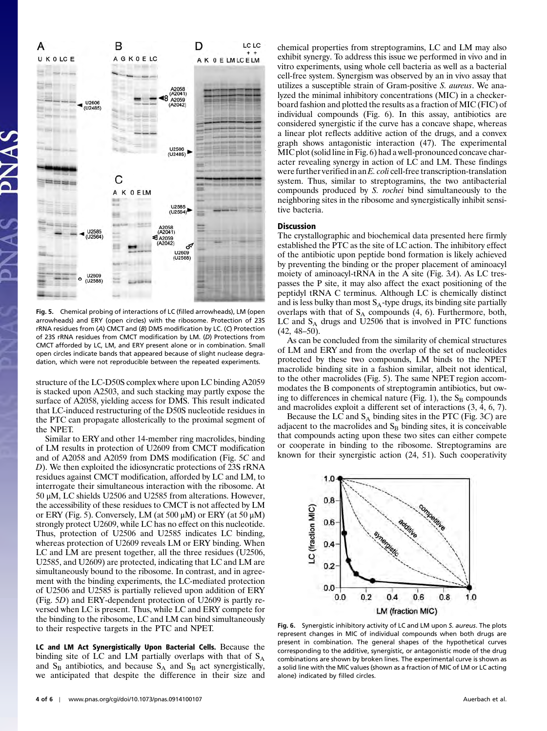

Fig. 5. Chemical probing of interactions of LC (filled arrowheads), LM (open arrowheads) and ERY (open circles) with the ribosome. Protection of 23S rRNA residues from (A) CMCT and (B) DMS modification by LC. (C) Protection of 23S rRNA residues from CMCT modification by LM. (D) Protections from CMCT afforded by LC, LM, and ERY present alone or in combination. Small open circles indicate bands that appeared because of slight nuclease degradation, which were not reproducible between the repeated experiments.

structure of the LC-D50S complex where upon LC binding A2059 is stacked upon A2503, and such stacking may partly expose the surface of A2058, yielding access for DMS. This result indicated that LC-induced restructuring of the D50S nucleotide residues in the PTC can propagate allosterically to the proximal segment of the NPET.

Similar to ERY and other 14-member ring macrolides, binding of LM results in protection of U2609 from CMCT modification and of A2058 and A2059 from DMS modification (Fig. 5C and D). We then exploited the idiosyncratic protections of 23S rRNA residues against CMCT modification, afforded by LC and LM, to interrogate their simultaneous interaction with the ribosome. At 50 μM, LC shields U2506 and U2585 from alterations. However, the accessibility of these residues to CMCT is not affected by LM or ERY (Fig. 5). Conversely, LM (at 500  $\mu$ M) or ERY (at 50  $\mu$ M) strongly protect U2609, while LC has no effect on this nucleotide. Thus, protection of U2506 and U2585 indicates LC binding, whereas protection of U2609 reveals LM or ERY binding. When LC and LM are present together, all the three residues (U2506, U2585, and U2609) are protected, indicating that LC and LM are simultaneously bound to the ribosome. In contrast, and in agreement with the binding experiments, the LC-mediated protection of U2506 and U2585 is partially relieved upon addition of ERY (Fig. 5D) and ERY-dependent protection of U2609 is partly reversed when LC is present. Thus, while LC and ERY compete for the binding to the ribosome, LC and LM can bind simultaneously to their respective targets in the PTC and NPET.

LC and LM Act Synergistically Upon Bacterial Cells. Because the binding site of LC and LM partially overlaps with that of  $S_A$ and  $S_B$  antibiotics, and because  $S_A$  and  $S_B$  act synergistically, we anticipated that despite the difference in their size and chemical properties from streptogramins, LC and LM may also exhibit synergy. To address this issue we performed in vivo and in vitro experiments, using whole cell bacteria as well as a bacterial cell-free system. Synergism was observed by an in vivo assay that utilizes a susceptible strain of Gram-positive S. aureus. We analyzed the minimal inhibitory concentrations (MIC) in a checkerboard fashion and plotted the results as a fraction of MIC (FIC) of individual compounds (Fig. 6). In this assay, antibiotics are considered synergistic if the curve has a concave shape, whereas a linear plot reflects additive action of the drugs, and a convex graph shows antagonistic interaction (47). The experimental MIC plot (solid line in Fig. 6) had a well-pronounced concave character revealing synergy in action of LC and LM. These findings were further verified in an  $E$ . coli cell-free transcription-translation system. Thus, similar to streptogramins, the two antibacterial compounds produced by S. rochei bind simultaneously to the neighboring sites in the ribosome and synergistically inhibit sensitive bacteria.

#### Discussion

The crystallographic and biochemical data presented here firmly established the PTC as the site of LC action. The inhibitory effect of the antibiotic upon peptide bond formation is likely achieved by preventing the binding or the proper placement of aminoacyl moiety of aminoacyl-tRNA in the A site (Fig. 3A). As LC trespasses the P site, it may also affect the exact positioning of the peptidyl tRNA C terminus. Although LC is chemically distinct and is less bulky than most  $S_A$ -type drugs, its binding site partially overlaps with that of  $S_A$  compounds  $(4, 6)$ . Furthermore, both, LC and  $S_A$  drugs and U2506 that is involved in PTC functions (42, 48–50).

As can be concluded from the similarity of chemical structures of LM and ERY and from the overlap of the set of nucleotides protected by these two compounds, LM binds to the NPET macrolide binding site in a fashion similar, albeit not identical, to the other macrolides (Fig. 5). The same NPET region accommodates the B components of streptogramin antibiotics, but owing to differences in chemical nature (Fig. 1), the  $S_B$  compounds and macrolides exploit a different set of interactions (3, 4, 6, 7).

Because the LC and  $S_A$  binding sites in the PTC (Fig. 3C) are adjacent to the macrolides and  $S_B$  binding sites, it is conceivable that compounds acting upon these two sites can either compete or cooperate in binding to the ribosome. Streptogramins are known for their synergistic action (24, 51). Such cooperativity



Fig. 6. Synergistic inhibitory activity of LC and LM upon S. aureus. The plots represent changes in MIC of individual compounds when both drugs are present in combination. The general shapes of the hypothetical curves corresponding to the additive, synergistic, or antagonistic mode of the drug combinations are shown by broken lines. The experimental curve is shown as a solid line with the MIC values (shown as a fraction of MIC of LM or LC acting alone) indicated by filled circles.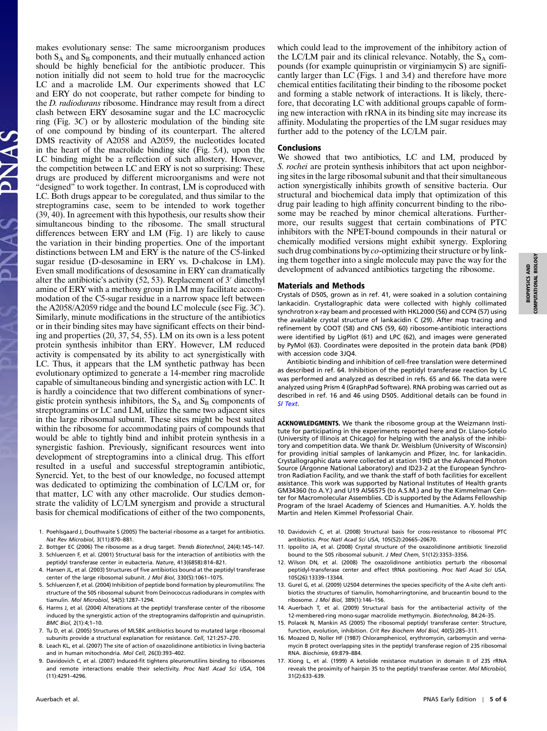makes evolutionary sense: The same microorganism produces both  $S_A$  and  $S_B$  components, and their mutually enhanced action should be highly beneficial for the antibiotic producer. This notion initially did not seem to hold true for the macrocyclic LC and a macrolide LM. Our experiments showed that LC and ERY do not cooperate, but rather compete for binding to the D. radiodurans ribosome. Hindrance may result from a direct clash between ERY desosamine sugar and the LC macrocyclic ring (Fig. 3C) or by allosteric modulation of the binding site of one compound by binding of its counterpart. The altered DMS reactivity of A2058 and A2059, the nucleotides located in the heart of the macrolide binding site (Fig. 5A), upon the LC binding might be a reflection of such allostery. However, the competition between LC and ERY is not so surprising: These drugs are produced by different microorganisms and were not "designed" to work together. In contrast, LM is coproduced with LC. Both drugs appear to be coregulated, and thus similar to the streptogramins case, seem to be intended to work together (39, 40). In agreement with this hypothesis, our results show their simultaneous binding to the ribosome. The small structural differences between ERY and LM (Fig. 1) are likely to cause the variation in their binding properties. One of the important distinctions between LM and ERY is the nature of the C5-linked sugar residue (D-desosamine in ERY vs. D-chalcose in LM). Even small modifications of desosamine in ERY vs. D-chacose in ENY.<br>Even small modifications of desosamine in ERY can dramatically<br>alter the antibiotic's activity (52, 53). Replacement of 3' dimethyl amine of ERY with a methoxy group in LM may facilitate accommodation of the C5-sugar residue in a narrow space left between the A2058/A2059 ridge and the bound LC molecule (see Fig. 3C). Similarly, minute modifications in the structure of the antibiotics or in their binding sites may have significant effects on their binding and properties (20, 37, 54, 55). LM on its own is a less potent protein synthesis inhibitor than ERY. However, LM reduced activity is compensated by its ability to act synergistically with LC. Thus, it appears that the LM synthetic pathway has been evolutionary optimized to generate a 14-member ring macrolide capable of simultaneous binding and synergistic action with LC. It is hardly a coincidence that two different combinations of synergistic protein synthesis inhibitors, the  $S_A$  and  $S_B$  components of streptogramins or LC and LM, utilize the same two adjacent sites in the large ribosomal subunit. These sites might be best suited within the ribosome for accommodating pairs of compounds that would be able to tightly bind and inhibit protein synthesis in a synergistic fashion. Previously, significant resources went into development of streptogramins into a clinical drug. This effort resulted in a useful and successful streptogramin antibiotic, Synercid. Yet, to the best of our knowledge, no focused attempt was dedicated to optimizing the combination of LC/LM or, for that matter, LC with any other macrolide. Our studies demonstrate the validity of LC/LM synergism and provide a structural basis for chemical modifications of either of the two components,

- 1. Poehlsgaard J, Douthwaite S (2005) The bacterial ribosome as a target for antibiotics. Nat Rev Microbiol, 3(11):870–881.
- 2. Bottger EC (2006) The ribosome as a drug target. Trends Biotechnol, 24(4):145–147. 3. Schluenzen F, et al. (2001) Structural basis for the interaction of antibiotics with the
- peptidyl transferase center in eubacteria. Nature, 413(6858):814–821. 4. Hansen JL, et al. (2003) Structures of five antibiotics bound at the peptidyl transferase center of the large ribosomal subunit. J Mol Biol, 330(5):1061–1075.
- 5. Schluenzen F, et al. (2004) Inhibition of peptide bond formation by pleuromutilins: The structure of the 50S ribosomal subunit from Deinococcus radiodurans in complex with tiamulin. Mol Microbiol, 54(5):1287–1294.
- 6. Harms J, et al. (2004) Alterations at the peptidyl transferase center of the ribosome induced by the synergistic action of the streptogramins dalfopristin and quinupristin. BMC Biol, 2(1):4;1–10.
- 7. Tu D, et al. (2005) Structures of MLSBK antibiotics bound to mutated large ribosomal subunits provide a structural explanation for resistance. Cell, 121:257–270.
- 8. Leach KL, et al. (2007) The site of action of oxazolidinone antibiotics in living bacteria and in human mitochondria. Mol Cell, 26(3):393–402.
- 9. Davidovich C, et al. (2007) Induced-fit tightens pleuromutilins binding to ribosomes and remote interactions enable their selectivity. Proc Natl Acad Sci USA, 104 (11):4291–4296.

which could lead to the improvement of the inhibitory action of the LC/LM pair and its clinical relevance. Notably, the  $S_A$  compounds (for example quinupristin or virginiamycin S) are significantly larger than LC (Figs. 1 and 3A) and therefore have more chemical entities facilitating their binding to the ribosome pocket and forming a stable network of interactions. It is likely, therefore, that decorating LC with additional groups capable of forming new interaction with rRNA in its binding site may increase its affinity. Modulating the properties of the LM sugar residues may further add to the potency of the LC/LM pair.

### Conclusions

We showed that two antibiotics, LC and LM, produced by S. rochei are protein synthesis inhibitors that act upon neighboring sites in the large ribosomal subunit and that their simultaneous action synergistically inhibits growth of sensitive bacteria. Our structural and biochemical data imply that optimization of this drug pair leading to high affinity concurrent binding to the ribosome may be reached by minor chemical alterations. Furthermore, our results suggest that certain combinations of PTC inhibitors with the NPET-bound compounds in their natural or chemically modified versions might exhibit synergy. Exploring such drug combinations by co-optimizing their structure or by linking them together into a single molecule may pave the way for the development of advanced antibiotics targeting the ribosome.

### Materials and Methods

Crystals of D50S, grown as in ref. 41, were soaked in a solution containing lankacidin. Crystallographic data were collected with highly collimated synchrotron x-ray beam and processed with HKL2000 (56) and CCP4 (57) using the available crystal structure of lankacidin C (29). After map tracing and refinement by COOT (58) and CNS (59, 60) ribosome-antibiotic interactions were identified by LigPlot (61) and LPC (62), and images were generated by PyMol (63). Coordinates were deposited in the protein data bank (PDB) with accession code 3JQ4.

Antibiotic binding and inhibition of cell-free translation were determined as described in ref. 64. Inhibition of the peptidyl transferase reaction by LC was performed and analyzed as described in refs. 65 and 66. The data were analyzed using Prism 4 (GraphPad Software). RNA probing was carried out as described in ref. 16 and 46 using D50S. Additional details can be found in [SI Text](http://www.pnas.org/cgi/data/0914100107/DCSupplemental/Supplemental_PDF#nameddest=STXT).

ACKNOWLEDGMENTS. We thank the ribosome group at the Weizmann Institute for participating in the experiments reported here and Dr. Llano-Sotelo (University of Illinois at Chicago) for helping with the analysis of the inhibitory and competition data. We thank Dr. Weisblum (University of Wisconsin) for providing initial samples of lankamycin and Pfizer, Inc. for lankacidin. Crystallographic data were collected at station 19ID at the Advanced Photon Source (Argonne National Laboratory) and ID23-2 at the European Synchrotron Radiation Facility, and we thank the staff of both facilities for excellent assistance. This work was supported by National Institutes of Health grants GM34360 (to A.Y.) and U19 AI56575 (to A.S.M.) and by the Kimmelman Center for Macromolecular Assemblies. CD is supported by the Adams Fellowship Program of the Israel Academy of Sciences and Humanities. A.Y. holds the Martin and Helen Kimmel Professorial Chair.

- 10. Davidovich C, et al. (2008) Structural basis for cross-resistance to ribosomal PTC antibiotics. Proc Natl Acad Sci USA, 105(52):20665–20670.
- 11. Ippolito JA, et al. (2008) Crystal structure of the oxazolidinone antibiotic linezolid bound to the 50S ribosomal subunit. J Med Chem, 51(12):3353–3356.
- 12. Wilson DN, et al. (2008) The oxazolidinone antibiotics perturb the ribosomal peptidyl-transferase center and effect tRNA positioning. Proc Natl Acad Sci USA, 105(26):13339–13344.
- 13. Gurel G, et al. (2009) U2504 determines the species specificity of the A-site cleft antibiotics the structures of tiamulin, homoharringtonine, and bruceantin bound to the ribosome. J Mol Biol, 389(1):146–156.
- 14. Auerbach T, et al. (2009) Structural basis for the antibacterial activity of the 12-membered-ring mono-sugar macrolide methymycin. Biotechnolog, 84:24–35.
- 15. Polacek N, Mankin AS (2005) The ribosomal peptidyl transferase center: Structure, function, evolution, inhibition. Crit Rev Biochem Mol Biol, 40(5):285–311.
- 16. Moazed D, Noller HF (1987) Chloramphenicol, erythromycin, carbomycin and vernamycin B protect overlapping sites in the peptidyl transferase region of 23S ribosomal RNA. Biochimie, 69:879–884.
- 17. Xiong L, et al. (1999) A ketolide resistance mutation in domain II of 23S rRNA reveals the proximity of hairpin 35 to the peptidyl transferase center. Mol Microbiol, 31(2):633–639.

COMPUTATIONAL BIOLOGYBIOPHYSICS AND<br>COMPUTATIONAL BIOLOG BIOPHYSICS AND